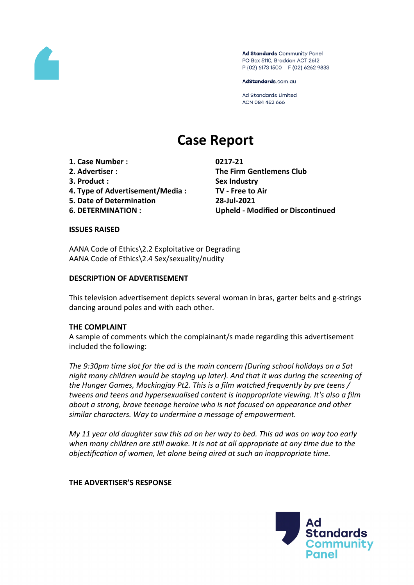

Ad Standards Community Panel PO Box 5110, Braddon ACT 2612 P (02) 6173 1500 | F (02) 6262 9833

AdStandards.com.au

**Ad Standards Limited** ACN 084 452 666

# **Case Report**

- **1. Case Number : 0217-21**
- 
- 
- **4. Type of Advertisement/Media : TV - Free to Air**
- **5. Date of Determination 28-Jul-2021**
- 

**2. Advertiser : The Firm Gentlemens Club 3. Product : Sex Industry 6. DETERMINATION : Upheld - Modified or Discontinued**

# **ISSUES RAISED**

AANA Code of Ethics\2.2 Exploitative or Degrading AANA Code of Ethics\2.4 Sex/sexuality/nudity

# **DESCRIPTION OF ADVERTISEMENT**

This television advertisement depicts several woman in bras, garter belts and g-strings dancing around poles and with each other.

# **THE COMPLAINT**

A sample of comments which the complainant/s made regarding this advertisement included the following:

*The 9:30pm time slot for the ad is the main concern (During school holidays on a Sat night many children would be staying up later). And that it was during the screening of the Hunger Games, Mockingjay Pt2. This is a film watched frequently by pre teens / tweens and teens and hypersexualised content is inappropriate viewing. It's also a film about a strong, brave teenage heroine who is not focused on appearance and other similar characters. Way to undermine a message of empowerment.*

*My 11 year old daughter saw this ad on her way to bed. This ad was on way too early when many children are still awake. It is not at all appropriate at any time due to the objectification of women, let alone being aired at such an inappropriate time.*

# **THE ADVERTISER'S RESPONSE**

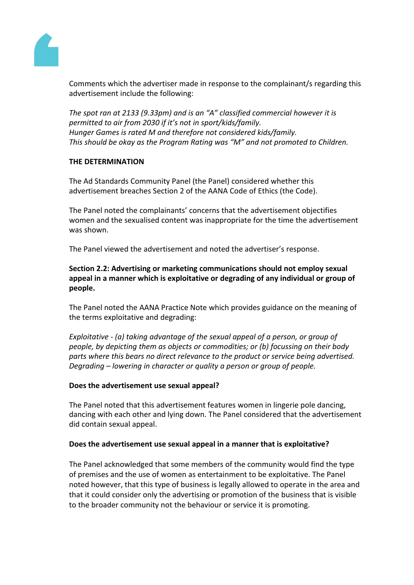

Comments which the advertiser made in response to the complainant/s regarding this advertisement include the following:

*The spot ran at 2133 (9.33pm) and is an "A" classified commercial however it is permitted to air from 2030 if it's not in sport/kids/family. Hunger Games is rated M and therefore not considered kids/family. This should be okay as the Program Rating was "M" and not promoted to Children.*

# **THE DETERMINATION**

The Ad Standards Community Panel (the Panel) considered whether this advertisement breaches Section 2 of the AANA Code of Ethics (the Code).

The Panel noted the complainants' concerns that the advertisement objectifies women and the sexualised content was inappropriate for the time the advertisement was shown.

The Panel viewed the advertisement and noted the advertiser's response.

**Section 2.2: Advertising or marketing communications should not employ sexual appeal in a manner which is exploitative or degrading of any individual or group of people.**

The Panel noted the AANA Practice Note which provides guidance on the meaning of the terms exploitative and degrading:

*Exploitative - (a) taking advantage of the sexual appeal of a person, or group of people, by depicting them as objects or commodities; or (b) focussing on their body parts where this bears no direct relevance to the product or service being advertised. Degrading – lowering in character or quality a person or group of people.*

# **Does the advertisement use sexual appeal?**

The Panel noted that this advertisement features women in lingerie pole dancing, dancing with each other and lying down. The Panel considered that the advertisement did contain sexual appeal.

# **Does the advertisement use sexual appeal in a manner that is exploitative?**

The Panel acknowledged that some members of the community would find the type of premises and the use of women as entertainment to be exploitative. The Panel noted however, that this type of business is legally allowed to operate in the area and that it could consider only the advertising or promotion of the business that is visible to the broader community not the behaviour or service it is promoting.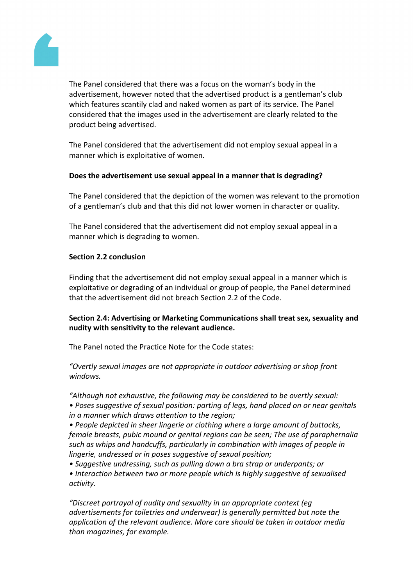

The Panel considered that there was a focus on the woman's body in the advertisement, however noted that the advertised product is a gentleman's club which features scantily clad and naked women as part of its service. The Panel considered that the images used in the advertisement are clearly related to the product being advertised.

The Panel considered that the advertisement did not employ sexual appeal in a manner which is exploitative of women.

# **Does the advertisement use sexual appeal in a manner that is degrading?**

The Panel considered that the depiction of the women was relevant to the promotion of a gentleman's club and that this did not lower women in character or quality.

The Panel considered that the advertisement did not employ sexual appeal in a manner which is degrading to women.

# **Section 2.2 conclusion**

Finding that the advertisement did not employ sexual appeal in a manner which is exploitative or degrading of an individual or group of people, the Panel determined that the advertisement did not breach Section 2.2 of the Code.

# **Section 2.4: Advertising or Marketing Communications shall treat sex, sexuality and nudity with sensitivity to the relevant audience.**

The Panel noted the Practice Note for the Code states:

*"Overtly sexual images are not appropriate in outdoor advertising or shop front windows.*

*"Although not exhaustive, the following may be considered to be overtly sexual:*

*• Poses suggestive of sexual position: parting of legs, hand placed on or near genitals in a manner which draws attention to the region;*

*• People depicted in sheer lingerie or clothing where a large amount of buttocks, female breasts, pubic mound or genital regions can be seen; The use of paraphernalia such as whips and handcuffs, particularly in combination with images of people in lingerie, undressed or in poses suggestive of sexual position;*

*• Suggestive undressing, such as pulling down a bra strap or underpants; or*

*• Interaction between two or more people which is highly suggestive of sexualised activity.*

*"Discreet portrayal of nudity and sexuality in an appropriate context (eg advertisements for toiletries and underwear) is generally permitted but note the application of the relevant audience. More care should be taken in outdoor media than magazines, for example.*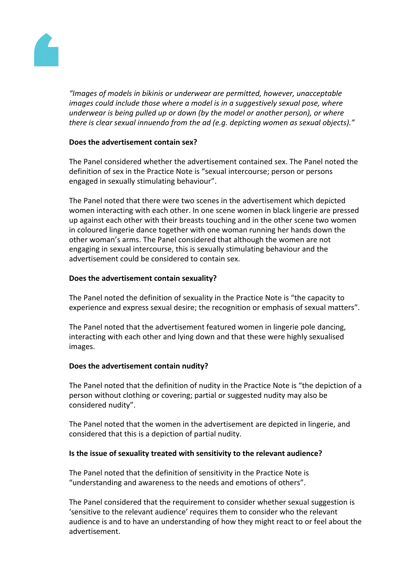

*"Images of models in bikinis or underwear are permitted, however, unacceptable images could include those where a model is in a suggestively sexual pose, where underwear is being pulled up or down (by the model or another person), or where there is clear sexual innuendo from the ad (e.g. depicting women as sexual objects)."*

# **Does the advertisement contain sex?**

The Panel considered whether the advertisement contained sex. The Panel noted the definition of sex in the Practice Note is "sexual intercourse; person or persons engaged in sexually stimulating behaviour".

The Panel noted that there were two scenes in the advertisement which depicted women interacting with each other. In one scene women in black lingerie are pressed up against each other with their breasts touching and in the other scene two women in coloured lingerie dance together with one woman running her hands down the other woman's arms. The Panel considered that although the women are not engaging in sexual intercourse, this is sexually stimulating behaviour and the advertisement could be considered to contain sex.

# **Does the advertisement contain sexuality?**

The Panel noted the definition of sexuality in the Practice Note is "the capacity to experience and express sexual desire; the recognition or emphasis of sexual matters".

The Panel noted that the advertisement featured women in lingerie pole dancing, interacting with each other and lying down and that these were highly sexualised images.

# **Does the advertisement contain nudity?**

The Panel noted that the definition of nudity in the Practice Note is "the depiction of a person without clothing or covering; partial or suggested nudity may also be considered nudity".

The Panel noted that the women in the advertisement are depicted in lingerie, and considered that this is a depiction of partial nudity.

# **Is the issue of sexuality treated with sensitivity to the relevant audience?**

The Panel noted that the definition of sensitivity in the Practice Note is "understanding and awareness to the needs and emotions of others".

The Panel considered that the requirement to consider whether sexual suggestion is 'sensitive to the relevant audience' requires them to consider who the relevant audience is and to have an understanding of how they might react to or feel about the advertisement.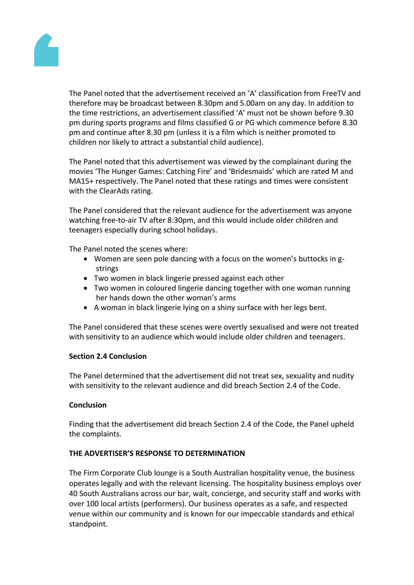

The Panel noted that the advertisement received an 'A' classification from FreeTV and therefore may be broadcast between 8.30pm and 5.00am on any day. In addition to the time restrictions, an advertisement classified 'A' must not be shown before 9.30 pm during sports programs and films classified G or PG which commence before 8.30 pm and continue after 8.30 pm (unless it is a film which is neither promoted to children nor likely to attract a substantial child audience).

The Panel noted that this advertisement was viewed by the complainant during the movies 'The Hunger Games: Catching Fire' and 'Bridesmaids' which are rated M and MA15+ respectively. The Panel noted that these ratings and times were consistent with the ClearAds rating.

The Panel considered that the relevant audience for the advertisement was anyone watching free-to-air TV after 8:30pm, and this would include older children and teenagers especially during school holidays.

The Panel noted the scenes where:

- Women are seen pole dancing with a focus on the women's buttocks in gstrings
- Two women in black lingerie pressed against each other
- Two women in coloured lingerie dancing together with one woman running her hands down the other woman's arms
- A woman in black lingerie lying on a shiny surface with her legs bent.

The Panel considered that these scenes were overtly sexualised and were not treated with sensitivity to an audience which would include older children and teenagers.

#### **Section 2.4 Conclusion**

The Panel determined that the advertisement did not treat sex, sexuality and nudity with sensitivity to the relevant audience and did breach Section 2.4 of the Code.

#### **Conclusion**

Finding that the advertisement did breach Section 2.4 of the Code, the Panel upheld the complaints.

# **THE ADVERTISER'S RESPONSE TO DETERMINATION**

The Firm Corporate Club lounge is a South Australian hospitality venue, the business operates legally and with the relevant licensing. The hospitality business employs over 40 South Australians across our bar, wait, concierge, and security staff and works with over 100 local artists (performers). Our business operates as a safe, and respected venue within our community and is known for our impeccable standards and ethical standpoint.